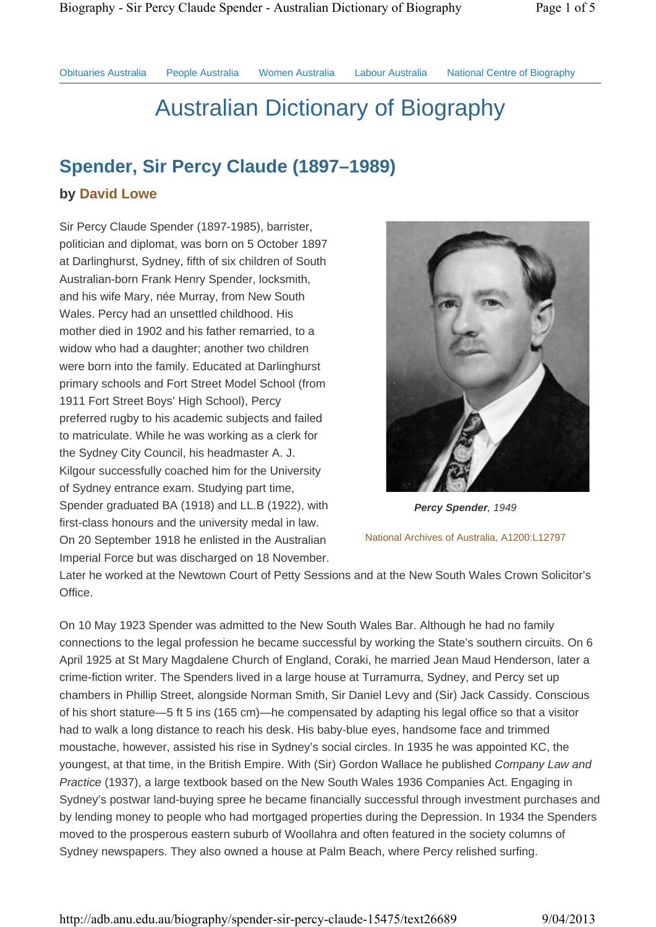Obituaries Australia People Australia Women Australia Labour Australia National Centre of Biography

# Australian Dictionary of Biography

## **Spender, Sir Percy Claude (1897–1989)**

### **by David Lowe**

Sir Percy Claude Spender (1897-1985), barrister, politician and diplomat, was born on 5 October 1897 at Darlinghurst, Sydney, fifth of six children of South Australian-born Frank Henry Spender, locksmith, and his wife Mary, née Murray, from New South Wales. Percy had an unsettled childhood. His mother died in 1902 and his father remarried, to a widow who had a daughter; another two children were born into the family. Educated at Darlinghurst primary schools and Fort Street Model School (from 1911 Fort Street Boys' High School), Percy preferred rugby to his academic subjects and failed to matriculate. While he was working as a clerk for the Sydney City Council, his headmaster A. J. Kilgour successfully coached him for the University of Sydney entrance exam. Studying part time, Spender graduated BA (1918) and LL.B (1922), with first-class honours and the university medal in law. On 20 September 1918 he enlisted in the Australian Imperial Force but was discharged on 18 November.



*Percy Spender, 1949* National Archives of Australia, A1200:L12797

Later he worked at the Newtown Court of Petty Sessions and at the New South Wales Crown Solicitor's Office.

On 10 May 1923 Spender was admitted to the New South Wales Bar. Although he had no family connections to the legal profession he became successful by working the State's southern circuits. On 6 April 1925 at St Mary Magdalene Church of England, Coraki, he married Jean Maud Henderson, later a crime-fiction writer. The Spenders lived in a large house at Turramurra, Sydney, and Percy set up chambers in Phillip Street, alongside Norman Smith, Sir Daniel Levy and (Sir) Jack Cassidy. Conscious of his short stature—5 ft 5 ins (165 cm)—he compensated by adapting his legal office so that a visitor had to walk a long distance to reach his desk. His baby-blue eyes, handsome face and trimmed moustache, however, assisted his rise in Sydney's social circles. In 1935 he was appointed KC, the youngest, at that time, in the British Empire. With (Sir) Gordon Wallace he published *Company Law and Practice* (1937), a large textbook based on the New South Wales 1936 Companies Act. Engaging in Sydney's postwar land-buying spree he became financially successful through investment purchases and by lending money to people who had mortgaged properties during the Depression. In 1934 the Spenders moved to the prosperous eastern suburb of Woollahra and often featured in the society columns of Sydney newspapers. They also owned a house at Palm Beach, where Percy relished surfing.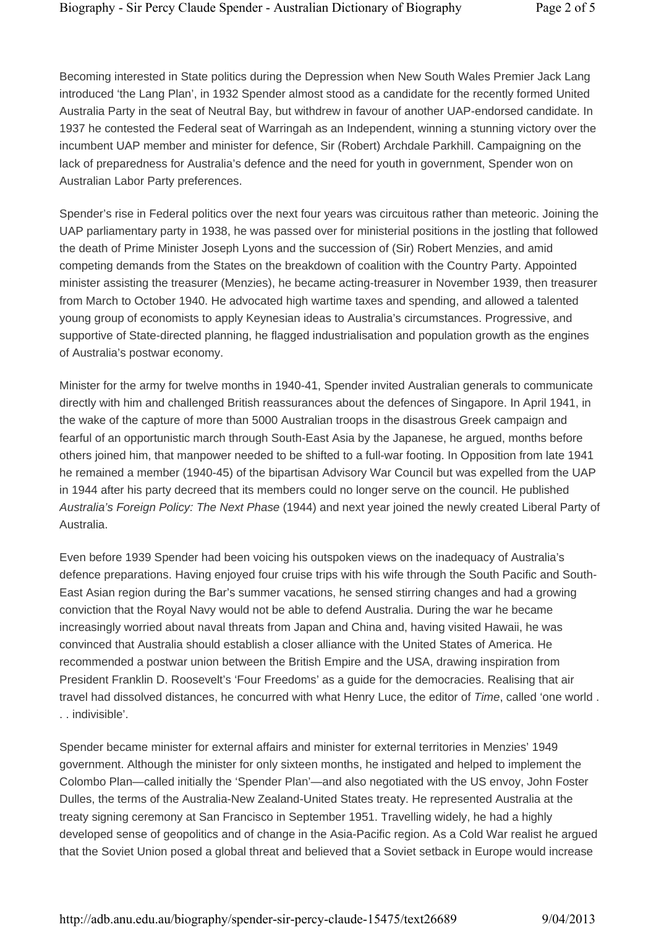Becoming interested in State politics during the Depression when New South Wales Premier Jack Lang introduced 'the Lang Plan', in 1932 Spender almost stood as a candidate for the recently formed United Australia Party in the seat of Neutral Bay, but withdrew in favour of another UAP-endorsed candidate. In 1937 he contested the Federal seat of Warringah as an Independent, winning a stunning victory over the incumbent UAP member and minister for defence, Sir (Robert) Archdale Parkhill. Campaigning on the lack of preparedness for Australia's defence and the need for youth in government, Spender won on Australian Labor Party preferences.

Spender's rise in Federal politics over the next four years was circuitous rather than meteoric. Joining the UAP parliamentary party in 1938, he was passed over for ministerial positions in the jostling that followed the death of Prime Minister Joseph Lyons and the succession of (Sir) Robert Menzies, and amid competing demands from the States on the breakdown of coalition with the Country Party. Appointed minister assisting the treasurer (Menzies), he became acting-treasurer in November 1939, then treasurer from March to October 1940. He advocated high wartime taxes and spending, and allowed a talented young group of economists to apply Keynesian ideas to Australia's circumstances. Progressive, and supportive of State-directed planning, he flagged industrialisation and population growth as the engines of Australia's postwar economy.

Minister for the army for twelve months in 1940-41, Spender invited Australian generals to communicate directly with him and challenged British reassurances about the defences of Singapore. In April 1941, in the wake of the capture of more than 5000 Australian troops in the disastrous Greek campaign and fearful of an opportunistic march through South-East Asia by the Japanese, he argued, months before others joined him, that manpower needed to be shifted to a full-war footing. In Opposition from late 1941 he remained a member (1940-45) of the bipartisan Advisory War Council but was expelled from the UAP in 1944 after his party decreed that its members could no longer serve on the council. He published *Australia's Foreign Policy: The Next Phase* (1944) and next year joined the newly created Liberal Party of Australia.

Even before 1939 Spender had been voicing his outspoken views on the inadequacy of Australia's defence preparations. Having enjoyed four cruise trips with his wife through the South Pacific and South-East Asian region during the Bar's summer vacations, he sensed stirring changes and had a growing conviction that the Royal Navy would not be able to defend Australia. During the war he became increasingly worried about naval threats from Japan and China and, having visited Hawaii, he was convinced that Australia should establish a closer alliance with the United States of America. He recommended a postwar union between the British Empire and the USA, drawing inspiration from President Franklin D. Roosevelt's 'Four Freedoms' as a guide for the democracies. Realising that air travel had dissolved distances, he concurred with what Henry Luce, the editor of *Time*, called 'one world . . . indivisible'.

Spender became minister for external affairs and minister for external territories in Menzies' 1949 government. Although the minister for only sixteen months, he instigated and helped to implement the Colombo Plan—called initially the 'Spender Plan'—and also negotiated with the US envoy, John Foster Dulles, the terms of the Australia-New Zealand-United States treaty. He represented Australia at the treaty signing ceremony at San Francisco in September 1951. Travelling widely, he had a highly developed sense of geopolitics and of change in the Asia-Pacific region. As a Cold War realist he argued that the Soviet Union posed a global threat and believed that a Soviet setback in Europe would increase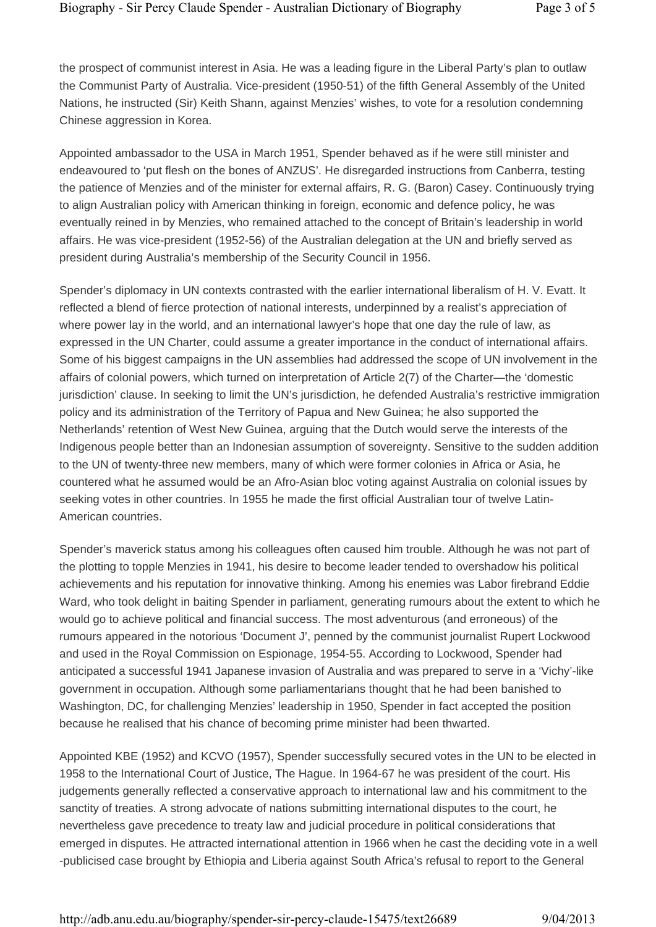the prospect of communist interest in Asia. He was a leading figure in the Liberal Party's plan to outlaw the Communist Party of Australia. Vice-president (1950-51) of the fifth General Assembly of the United Nations, he instructed (Sir) Keith Shann, against Menzies' wishes, to vote for a resolution condemning Chinese aggression in Korea.

Appointed ambassador to the USA in March 1951, Spender behaved as if he were still minister and endeavoured to 'put flesh on the bones of ANZUS'. He disregarded instructions from Canberra, testing the patience of Menzies and of the minister for external affairs, R. G. (Baron) Casey. Continuously trying to align Australian policy with American thinking in foreign, economic and defence policy, he was eventually reined in by Menzies, who remained attached to the concept of Britain's leadership in world affairs. He was vice-president (1952-56) of the Australian delegation at the UN and briefly served as president during Australia's membership of the Security Council in 1956.

Spender's diplomacy in UN contexts contrasted with the earlier international liberalism of H. V. Evatt. It reflected a blend of fierce protection of national interests, underpinned by a realist's appreciation of where power lay in the world, and an international lawyer's hope that one day the rule of law, as expressed in the UN Charter, could assume a greater importance in the conduct of international affairs. Some of his biggest campaigns in the UN assemblies had addressed the scope of UN involvement in the affairs of colonial powers, which turned on interpretation of Article 2(7) of the Charter—the 'domestic jurisdiction' clause. In seeking to limit the UN's jurisdiction, he defended Australia's restrictive immigration policy and its administration of the Territory of Papua and New Guinea; he also supported the Netherlands' retention of West New Guinea, arguing that the Dutch would serve the interests of the Indigenous people better than an Indonesian assumption of sovereignty. Sensitive to the sudden addition to the UN of twenty-three new members, many of which were former colonies in Africa or Asia, he countered what he assumed would be an Afro-Asian bloc voting against Australia on colonial issues by seeking votes in other countries. In 1955 he made the first official Australian tour of twelve Latin-American countries.

Spender's maverick status among his colleagues often caused him trouble. Although he was not part of the plotting to topple Menzies in 1941, his desire to become leader tended to overshadow his political achievements and his reputation for innovative thinking. Among his enemies was Labor firebrand Eddie Ward, who took delight in baiting Spender in parliament, generating rumours about the extent to which he would go to achieve political and financial success. The most adventurous (and erroneous) of the rumours appeared in the notorious 'Document J', penned by the communist journalist Rupert Lockwood and used in the Royal Commission on Espionage, 1954-55. According to Lockwood, Spender had anticipated a successful 1941 Japanese invasion of Australia and was prepared to serve in a 'Vichy'-like government in occupation. Although some parliamentarians thought that he had been banished to Washington, DC, for challenging Menzies' leadership in 1950, Spender in fact accepted the position because he realised that his chance of becoming prime minister had been thwarted.

Appointed KBE (1952) and KCVO (1957), Spender successfully secured votes in the UN to be elected in 1958 to the International Court of Justice, The Hague. In 1964-67 he was president of the court. His judgements generally reflected a conservative approach to international law and his commitment to the sanctity of treaties. A strong advocate of nations submitting international disputes to the court, he nevertheless gave precedence to treaty law and judicial procedure in political considerations that emerged in disputes. He attracted international attention in 1966 when he cast the deciding vote in a well -publicised case brought by Ethiopia and Liberia against South Africa's refusal to report to the General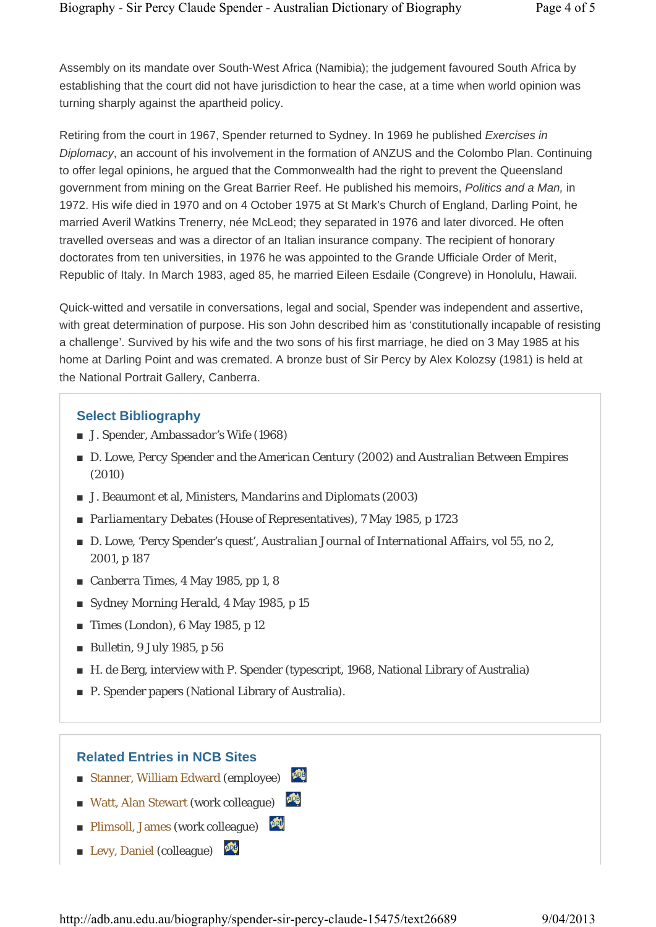Assembly on its mandate over South-West Africa (Namibia); the judgement favoured South Africa by establishing that the court did not have jurisdiction to hear the case, at a time when world opinion was turning sharply against the apartheid policy.

Retiring from the court in 1967, Spender returned to Sydney. In 1969 he published *Exercises in Diplomacy*, an account of his involvement in the formation of ANZUS and the Colombo Plan. Continuing to offer legal opinions, he argued that the Commonwealth had the right to prevent the Queensland government from mining on the Great Barrier Reef. He published his memoirs, *Politics and a Man,* in 1972. His wife died in 1970 and on 4 October 1975 at St Mark's Church of England, Darling Point, he married Averil Watkins Trenerry, née McLeod; they separated in 1976 and later divorced. He often travelled overseas and was a director of an Italian insurance company. The recipient of honorary doctorates from ten universities, in 1976 he was appointed to the Grande Ufficiale Order of Merit, Republic of Italy. In March 1983, aged 85, he married Eileen Esdaile (Congreve) in Honolulu, Hawaii.

Quick-witted and versatile in conversations, legal and social, Spender was independent and assertive, with great determination of purpose. His son John described him as 'constitutionally incapable of resisting a challenge'. Survived by his wife and the two sons of his first marriage, he died on 3 May 1985 at his home at Darling Point and was cremated. A bronze bust of Sir Percy by Alex Kolozsy (1981) is held at the National Portrait Gallery, Canberra.

#### **Select Bibliography**

- J. Spender, *Ambassador's Wife* (1968)
- D. Lowe, *Percy Spender and the American Century* (2002) and *Australian Between Empires* (2010)
- J. Beaumont et al, *Ministers, Mandarins and Diplomats* (2003)
- *Parliamentary Debates* (House of Representatives), 7 May 1985, p 1723
- D. Lowe, 'Percy Spender's quest', *Australian Journal of International Affairs*, vol 55, no 2, 2001, p 187
- *Canberra Times*, 4 May 1985, pp 1, 8
- *Sydney Morning Herald*, 4 May 1985, p 15
- *Times* (London), 6 May 1985, p 12
- *Bulletin*, 9 July 1985, p 56
- H. de Berg, interview with P. Spender (typescript, 1968, National Library of Australia)

**ADB** 

■ P. Spender papers (National Library of Australia).

#### **Related Entries in NCB Sites**

- Stanner, William Edward (employee)
- Watt, Alan Stewart (work colleague)
- Plimsoll, James (work colleague)
- Levy, Daniel (colleague)

http://adb.anu.edu.au/biography/spender-sir-percy-claude-15475/text26689 9/04/2013